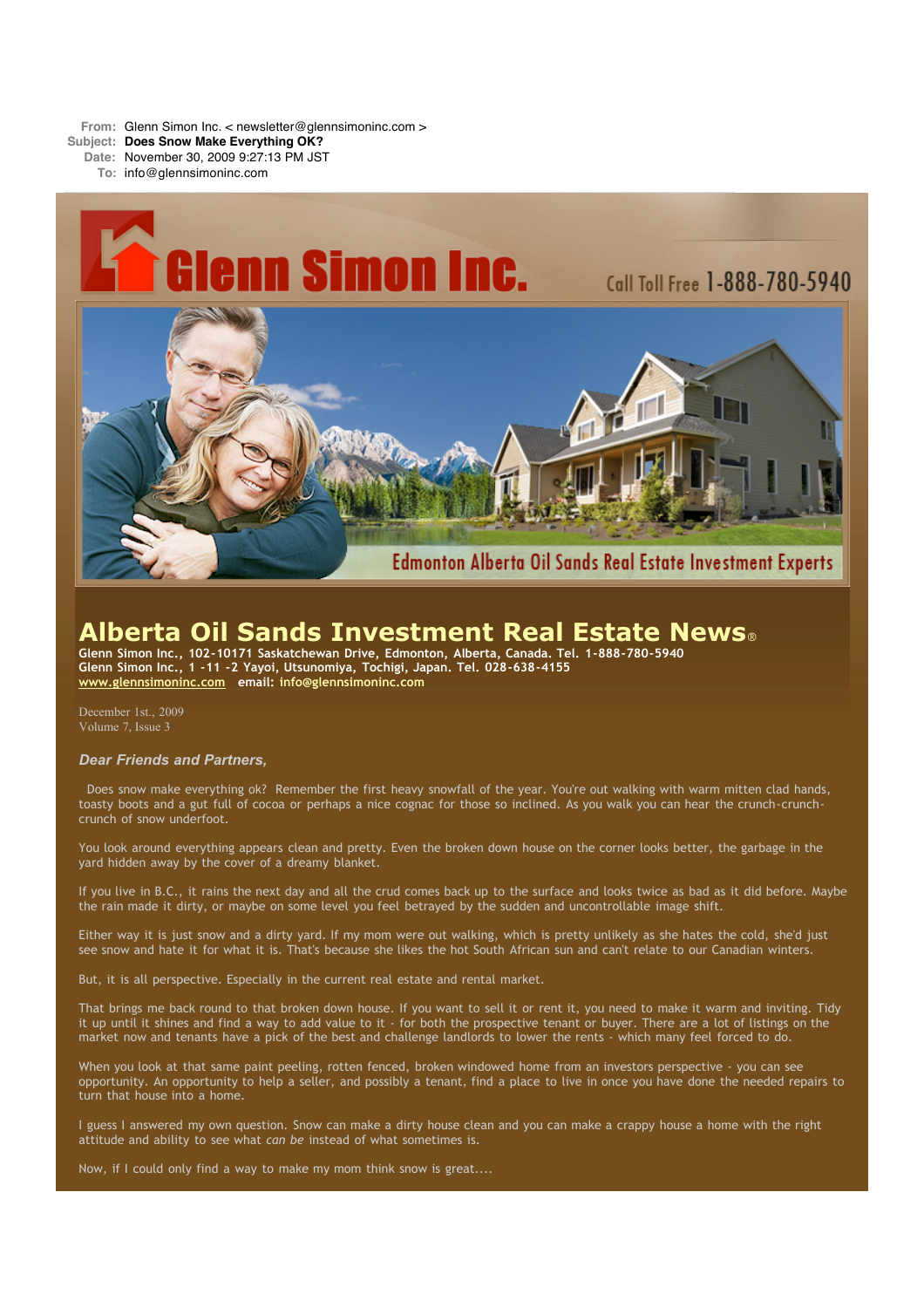**From:** Glenn Simon Inc. < newsletter@glennsimoninc.com >

**Subject: Does Snow Make Everything OK?**

**Date:** November 30, 2009 9:27:13 PM JST

**To:** info@glennsimoninc.com



# **Alberta Oil Sands Investment Real Estate News**®

**Glenn Simon Inc., 102-10171 Saskatchewan Drive, Edmonton, Alberta, Canada. Tel. 1-888-780-5940 Glenn Simon Inc., 1 -11 -2 Yayoi, Utsunomiya, Tochigi, Japan. Tel. 028-638-4155 [www.glennsimoninc.com](http://www.glennsimoninc.com/) email: [info@glennsimoninc.com](mailto:info@glennsimoninc.com)**

December 1st., 2009 Volume 7, Issue 3

# *Dear Friends and Partners,*

Does snow make everything ok? Remember the first heavy snowfall of the year. You're out walking with warm mitten clad hands, toasty boots and a gut full of cocoa or perhaps a nice cognac for those so inclined. As you walk you can hear the crunch-crunchcrunch of snow underfoot.

You look around everything appears clean and pretty. Even the broken down house on the corner looks better, the garbage in the yard hidden away by the cover of a dreamy blanket.

If you live in B.C., it rains the next day and all the crud comes back up to the surface and looks twice as bad as it did before. Maybe the rain made it dirty, or maybe on some level you feel betrayed by the sudden and uncontrollable image shift.

Either way it is just snow and a dirty yard. If my mom were out walking, which is pretty unlikely as she hates the cold, she'd just see snow and hate it for what it is. That's because she likes the hot South African sun and can't relate to our Canadian winters.

But, it is all perspective. Especially in the current real estate and rental market.

That brings me back round to that broken down house. If you want to sell it or rent it, you need to make it warm and inviting. Tidy it up until it shines and find a way to add value to it - for both the prospective tenant or buyer. There are a lot of listings on the market now and tenants have a pick of the best and challenge landlords to lower the rents - which many feel forced to do.

When you look at that same paint peeling, rotten fenced, broken windowed home from an investors perspective - you can see opportunity. An opportunity to help a seller, and possibly a tenant, find a place to live in once you have done the needed repairs to turn that house into a home.

I guess I answered my own question. Snow can make a dirty house clean and you can make a crappy house a home with the right attitude and ability to see what *can be* instead of what sometimes is.

Now, if I could only find a way to make my mom think snow is great....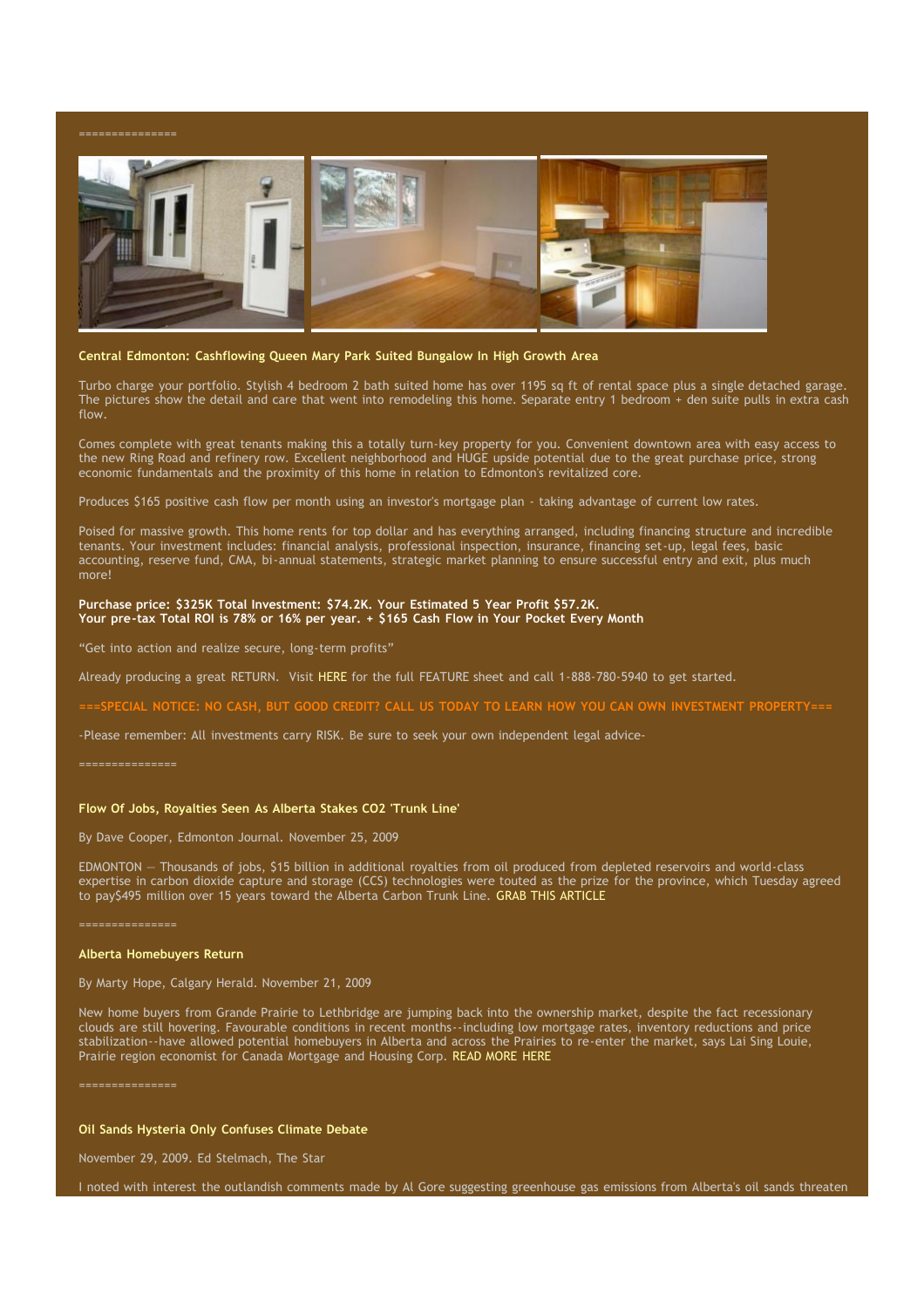

#### **Central Edmonton: Cashflowing Queen Mary Park Suited Bungalow In High Growth Area**

Turbo charge your portfolio. Stylish 4 bedroom 2 bath suited home has over 1195 sq ft of rental space plus a single detached garage. The pictures show the detail and care that went into remodeling this home. Separate entry 1 bedroom + den suite pulls in extra cash flow.

Comes complete with great tenants making this a totally turn-key property for you. Convenient downtown area with easy access to the new Ring Road and refinery row. Excellent neighborhood and HUGE upside potential due to the great purchase price, strong economic fundamentals and the proximity of this home in relation to Edmonton's revitalized core.

Produces \$165 positive cash flow per month using an investor's mortgage plan - taking advantage of current low rates.

Poised for massive growth. This home rents for top dollar and has everything arranged, including financing structure and incredible tenants. Your investment includes: financial analysis, professional inspection, insurance, financing set-up, legal fees, basic accounting, reserve fund, CMA, bi-annual statements, strategic market planning to ensure successful entry and exit, plus much more!

#### **Purchase price: \$325K Total Investment: \$74.2K. Your Estimated 5 Year Profit \$57.2K. Your pre-tax Total ROI is 78% or 16% per year. + \$165 Cash Flow in Your Pocket Every Month**

"Get into action and realize secure, long-term profits"

Already producing a great RETURN. Visit [HERE](http://www.glennsimoninc.com/featured_detail.php?id=69) for the full FEATURE sheet and call 1-888-780-5940 to get started.

-SPECIAL NOTICE: NO CASH, BUT GOOD CREDIT? CALL US TODAY TO LEARN HOW YOU CAN OWN INVESTMENT [PROPERTY===](http://www.myreinspace.com/forums/index.php?showtopic=14824)

-Please remember: All investments carry RISK. Be sure to seek your own independent legal advice-

===============

# **Flow Of Jobs, Royalties Seen As Alberta Stakes CO2 'Trunk Line'**

By Dave Cooper, Edmonton Journal. November 25, 2009

EDMONTON — Thousands of jobs, \$15 billion in additional royalties from oil produced from depleted reservoirs and world-class expertise in carbon dioxide capture and storage (CCS) technologies were touted as the prize for the province, which Tuesday agreed to pay\$495 million over 15 years toward the Alberta Carbon Trunk Line. GRAB THIS [ARTICLE](http://www.edmontonjournal.com/technology/Feds+will+contribute+Alberta+pipeline/2260958/story.html)

### **Alberta Homebuyers Return**

By Marty Hope, Calgary Herald. November 21, 2009

New home buyers from Grande Prairie to Lethbridge are jumping back into the ownership market, despite the fact recessionary clouds are still hovering. Favourable conditions in recent months--including low mortgage rates, inventory reductions and price stabilization--have allowed potential homebuyers in Alberta and across the Prairies to re-enter the market, says Lai Sing Louie, Prairie region economist for Canada Mortgage and Housing Corp. READ [MORE](http://www.calgaryherald.com/business/Alberta+homebuyers+return/2249371/story.html) HERE

===============

# **Oil Sands Hysteria Only Confuses Climate Debate**

November 29, 2009. Ed Stelmach, The Star

I noted with interest the outlandish comments made by Al Gore suggesting greenhouse gas emissions from Alberta's oil sands threaten